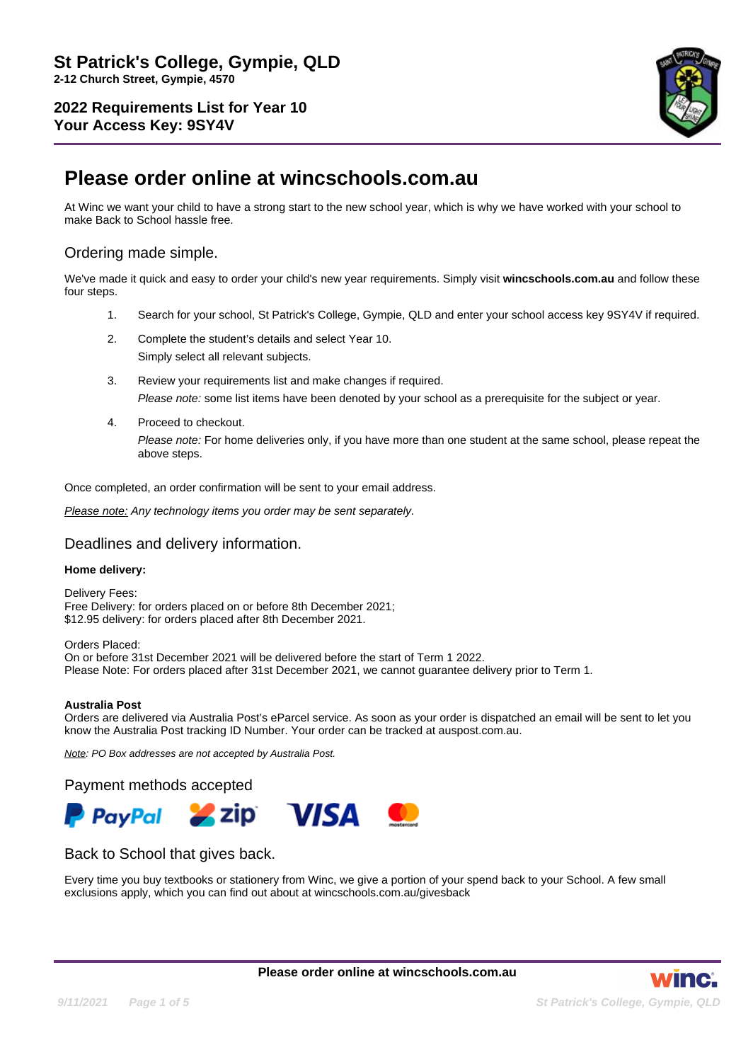

# **Please order online at wincschools.com.au**

At Winc we want your child to have a strong start to the new school year, which is why we have worked with your school to make Back to School hassle free.

# Ordering made simple.

We've made it quick and easy to order your child's new year requirements. Simply visit **wincschools.com.au** and follow these four steps.

- 1. Search for your school, St Patrick's College, Gympie, QLD and enter your school access key 9SY4V if required.
- 2. Complete the student's details and select Year 10.

Simply select all relevant subjects.

- 3. Review your requirements list and make changes if required. Please note: some list items have been denoted by your school as a prerequisite for the subject or year.
- 4. Proceed to checkout. Please note: For home deliveries only, if you have more than one student at the same school, please repeat the above steps.

Once completed, an order confirmation will be sent to your email address.

Please note: Any technology items you order may be sent separately.

### Deadlines and delivery information.

#### **Home delivery:**

Delivery Fees: Free Delivery: for orders placed on or before 8th December 2021; \$12.95 delivery: for orders placed after 8th December 2021.

Orders Placed: On or before 31st December 2021 will be delivered before the start of Term 1 2022. Please Note: For orders placed after 31st December 2021, we cannot guarantee delivery prior to Term 1.

#### **Australia Post**

Orders are delivered via Australia Post's eParcel service. As soon as your order is dispatched an email will be sent to let you know the Australia Post tracking ID Number. Your order can be tracked at auspost.com.au.

Note: PO Box addresses are not accepted by Australia Post.

Payment methods accepted



## Back to School that gives back.

Every time you buy textbooks or stationery from Winc, we give a portion of your spend back to your School. A few small exclusions apply, which you can find out about at wincschools.com.au/givesback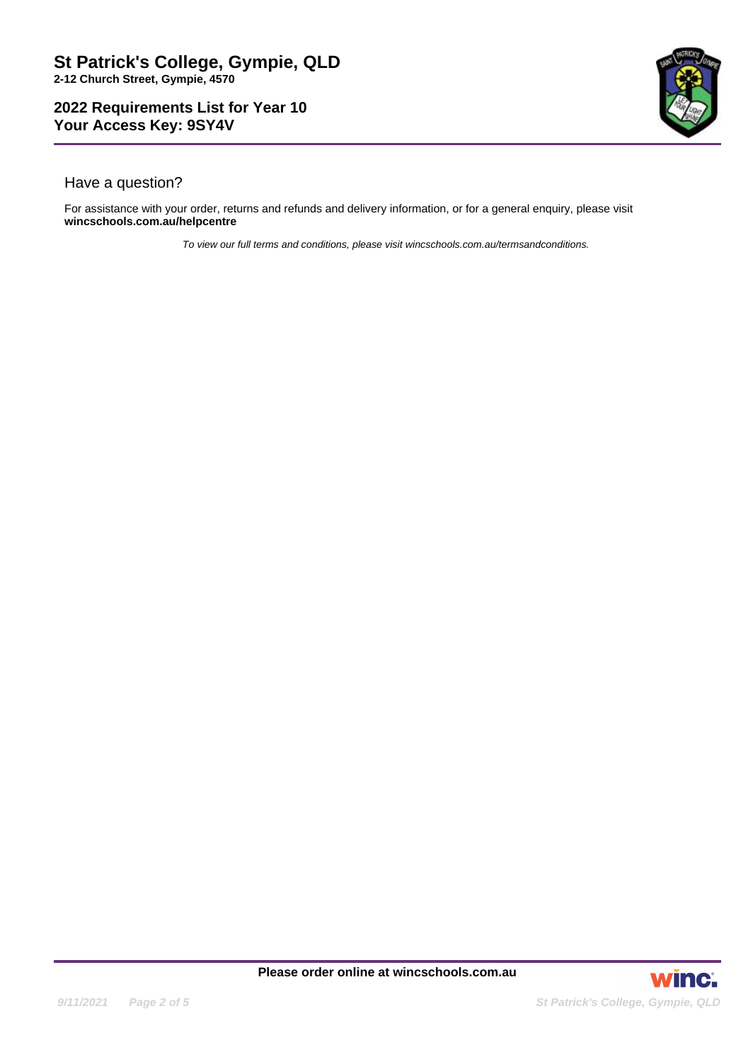

# Have a question?

For assistance with your order, returns and refunds and delivery information, or for a general enquiry, please visit **wincschools.com.au/helpcentre**

To view our full terms and conditions, please visit wincschools.com.au/termsandconditions.

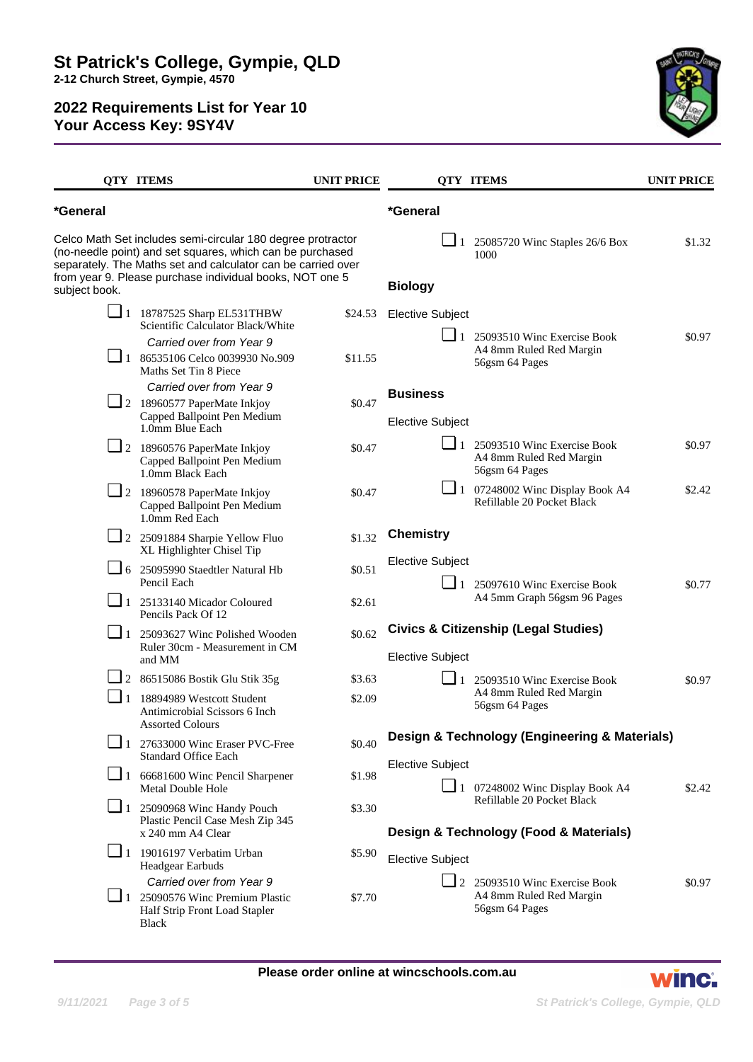

|                     | <b>QTY ITEMS</b>                                                                                                                                                                                                                                     | <b>UNIT PRICE</b> |                                                 | <b>QTY ITEMS</b>                                                                  | <b>UNIT PRICE</b> |
|---------------------|------------------------------------------------------------------------------------------------------------------------------------------------------------------------------------------------------------------------------------------------------|-------------------|-------------------------------------------------|-----------------------------------------------------------------------------------|-------------------|
| *General            |                                                                                                                                                                                                                                                      |                   | *General                                        |                                                                                   |                   |
| subject book.       | Celco Math Set includes semi-circular 180 degree protractor<br>(no-needle point) and set squares, which can be purchased<br>separately. The Maths set and calculator can be carried over<br>from year 9. Please purchase individual books, NOT one 5 |                   | <b>Biology</b>                                  | $\Box$ 1 25085720 Winc Staples 26/6 Box<br>1000                                   | \$1.32            |
|                     | $\Box$ 1 18787525 Sharp EL531THBW<br>Scientific Calculator Black/White                                                                                                                                                                               | \$24.53           | <b>Elective Subject</b>                         |                                                                                   |                   |
|                     | Carried over from Year 9                                                                                                                                                                                                                             |                   |                                                 | $\Box$ 1 25093510 Winc Exercise Book<br>A4 8mm Ruled Red Margin<br>56gsm 64 Pages | \$0.97            |
|                     | $\Box$ 1 86535106 Celco 0039930 No.909<br>Maths Set Tin 8 Piece                                                                                                                                                                                      | \$11.55           |                                                 |                                                                                   |                   |
|                     | Carried over from Year 9                                                                                                                                                                                                                             |                   | <b>Business</b>                                 |                                                                                   |                   |
|                     | $\Box$ 2 18960577 PaperMate Inkjoy<br>Capped Ballpoint Pen Medium<br>1.0mm Blue Each                                                                                                                                                                 | \$0.47            | <b>Elective Subject</b>                         |                                                                                   |                   |
|                     | $\Box$ 2 18960576 PaperMate Inkjoy<br>Capped Ballpoint Pen Medium<br>1.0mm Black Each                                                                                                                                                                | \$0.47            |                                                 | $\Box$ 1 25093510 Winc Exercise Book<br>A4 8mm Ruled Red Margin<br>56gsm 64 Pages | \$0.97            |
|                     | $\Box$ 2 18960578 PaperMate Inkjoy<br>Capped Ballpoint Pen Medium<br>1.0mm Red Each                                                                                                                                                                  | \$0.47            |                                                 | $\Box$ 1 07248002 Winc Display Book A4<br>Refillable 20 Pocket Black              | \$2.42            |
|                     | $\Box$ 2 25091884 Sharpie Yellow Fluo<br>XL Highlighter Chisel Tip                                                                                                                                                                                   | \$1.32            | <b>Chemistry</b>                                |                                                                                   |                   |
|                     | $\Box$ 6 25095990 Staedtler Natural Hb<br>Pencil Each                                                                                                                                                                                                | \$0.51            | <b>Elective Subject</b>                         | $\Box$ 1 25097610 Winc Exercise Book                                              | \$0.77            |
|                     | $\boxed{\phantom{0}}$ 1 25133140 Micador Coloured<br>Pencils Pack Of 12                                                                                                                                                                              | \$2.61            |                                                 | A4 5mm Graph 56gsm 96 Pages                                                       |                   |
| $\Box$ 1            | 25093627 Winc Polished Wooden                                                                                                                                                                                                                        | \$0.62            | <b>Civics &amp; Citizenship (Legal Studies)</b> |                                                                                   |                   |
|                     | Ruler 30cm - Measurement in CM<br>and MM                                                                                                                                                                                                             |                   | <b>Elective Subject</b>                         |                                                                                   |                   |
|                     | 2 86515086 Bostik Glu Stik 35g                                                                                                                                                                                                                       | \$3.63            |                                                 | $\Box$ 1 25093510 Winc Exercise Book                                              | \$0.97            |
| ⊔<br>$\overline{1}$ | 18894989 Westcott Student<br>Antimicrobial Scissors 6 Inch<br><b>Assorted Colours</b>                                                                                                                                                                | \$2.09            |                                                 | A4 8mm Ruled Red Margin<br>56gsm 64 Pages                                         |                   |
|                     | $\Box$ 1 27633000 Winc Eraser PVC-Free<br><b>Standard Office Each</b>                                                                                                                                                                                | \$0.40            | Design & Technology (Engineering & Materials)   |                                                                                   |                   |
|                     | $\boxed{\phantom{1}}$ 1 66681600 Winc Pencil Sharpener<br>Metal Double Hole                                                                                                                                                                          | \$1.98            | <b>Elective Subject</b>                         | $\Box$ 1 07248002 Winc Display Book A4                                            | \$2.42            |
|                     | $\boxed{\phantom{0}}$ 1 25090968 Winc Handy Pouch<br>Plastic Pencil Case Mesh Zip 345                                                                                                                                                                | \$3.30            |                                                 | Refillable 20 Pocket Black<br>Design & Technology (Food & Materials)              |                   |
|                     | x 240 mm A4 Clear                                                                                                                                                                                                                                    |                   |                                                 |                                                                                   |                   |
|                     | $\boxed{\phantom{0}}$ 1 19016197 Verbatim Urban<br><b>Headgear Earbuds</b>                                                                                                                                                                           | \$5.90            | <b>Elective Subject</b>                         |                                                                                   |                   |
|                     | Carried over from Year 9                                                                                                                                                                                                                             | \$7.70            |                                                 | $\Box$ 2 25093510 Winc Exercise Book<br>A4 8mm Ruled Red Margin                   | \$0.97            |
|                     | $\Box$ 1 25090576 Winc Premium Plastic<br>Half Strip Front Load Stapler<br>Black                                                                                                                                                                     |                   |                                                 | 56gsm 64 Pages                                                                    |                   |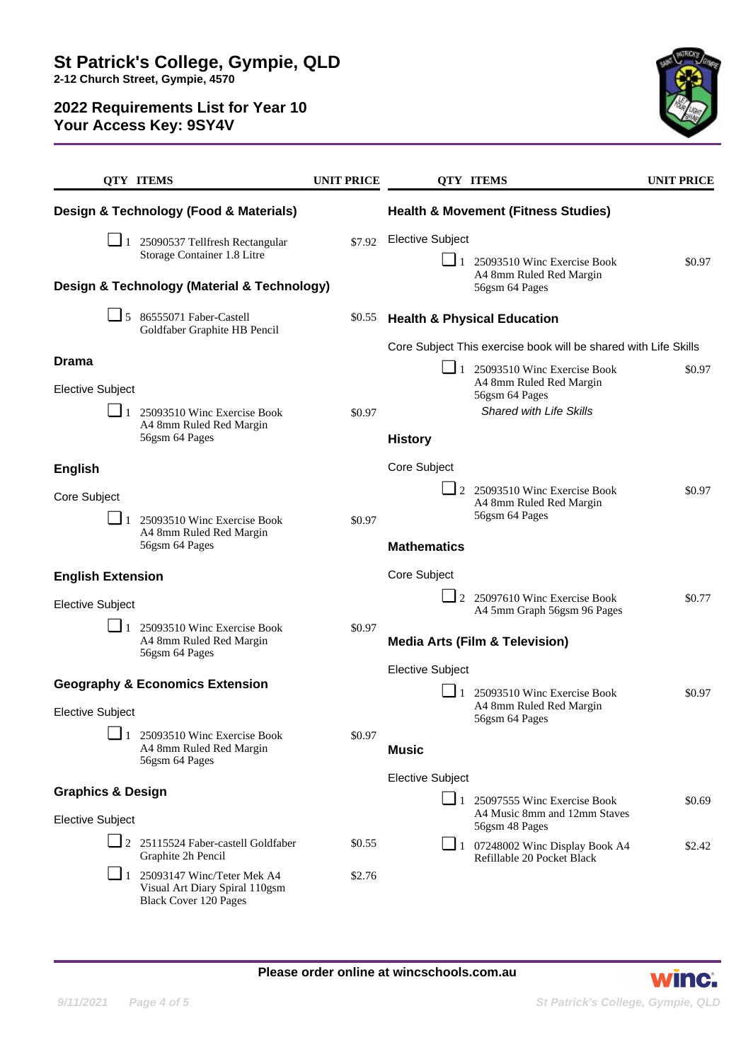

|                                             |  | <b>QTY ITEMS</b>                                                                                      | <b>UNIT PRICE</b>                                               |                         |                | <b>QTY ITEMS</b>                                                                                 | <b>UNIT PRICE</b> |
|---------------------------------------------|--|-------------------------------------------------------------------------------------------------------|-----------------------------------------------------------------|-------------------------|----------------|--------------------------------------------------------------------------------------------------|-------------------|
| Design & Technology (Food & Materials)      |  |                                                                                                       | <b>Health &amp; Movement (Fitness Studies)</b>                  |                         |                |                                                                                                  |                   |
|                                             |  | $\Box$ 1 25090537 Tellfresh Rectangular<br>Storage Container 1.8 Litre                                | \$7.92                                                          | <b>Elective Subject</b> |                |                                                                                                  |                   |
|                                             |  |                                                                                                       |                                                                 |                         |                | $\boxed{\phantom{0}}$ 1 25093510 Winc Exercise Book<br>A4 8mm Ruled Red Margin                   | \$0.97            |
| Design & Technology (Material & Technology) |  |                                                                                                       |                                                                 |                         | 56gsm 64 Pages |                                                                                                  |                   |
|                                             |  | $\Box$ 5 86555071 Faber-Castell<br>Goldfaber Graphite HB Pencil                                       | \$0.55                                                          |                         |                | <b>Health &amp; Physical Education</b>                                                           |                   |
| <b>Drama</b>                                |  |                                                                                                       | Core Subject This exercise book will be shared with Life Skills |                         |                |                                                                                                  |                   |
| <b>Elective Subject</b>                     |  |                                                                                                       |                                                                 |                         |                | $\boxed{\phantom{0}}$ 1 25093510 Winc Exercise Book<br>A4 8mm Ruled Red Margin<br>56gsm 64 Pages | \$0.97            |
|                                             |  | $\Box$ 1 25093510 Winc Exercise Book<br>A4 8mm Ruled Red Margin<br>56gsm 64 Pages                     | \$0.97                                                          |                         |                | Shared with Life Skills                                                                          |                   |
|                                             |  |                                                                                                       |                                                                 | <b>History</b>          |                |                                                                                                  |                   |
| <b>English</b>                              |  |                                                                                                       |                                                                 | Core Subject            |                |                                                                                                  |                   |
| Core Subject                                |  |                                                                                                       |                                                                 |                         |                | $\Box$ 2 25093510 Winc Exercise Book<br>A4 8mm Ruled Red Margin                                  | \$0.97            |
|                                             |  | $\Box$ 1 25093510 Winc Exercise Book                                                                  | \$0.97                                                          |                         |                | 56gsm 64 Pages                                                                                   |                   |
|                                             |  | A4 8mm Ruled Red Margin<br>56gsm 64 Pages                                                             |                                                                 | <b>Mathematics</b>      |                |                                                                                                  |                   |
| <b>English Extension</b>                    |  |                                                                                                       | Core Subject                                                    |                         |                |                                                                                                  |                   |
| <b>Elective Subject</b>                     |  |                                                                                                       |                                                                 |                         |                | 2 25097610 Winc Exercise Book<br>A4 5mm Graph 56gsm 96 Pages                                     | \$0.77            |
|                                             |  | $\Box$ 1 25093510 Winc Exercise Book<br>A4 8mm Ruled Red Margin<br>56gsm 64 Pages                     | \$0.97                                                          |                         |                | <b>Media Arts (Film &amp; Television)</b>                                                        |                   |
|                                             |  |                                                                                                       | <b>Elective Subject</b>                                         |                         |                |                                                                                                  |                   |
|                                             |  | <b>Geography &amp; Economics Extension</b>                                                            |                                                                 |                         |                | $\Box$ 1 25093510 Winc Exercise Book<br>A4 8mm Ruled Red Margin                                  | \$0.97            |
| <b>Elective Subject</b><br>□                |  |                                                                                                       |                                                                 |                         |                | 56gsm 64 Pages                                                                                   |                   |
| - 1                                         |  | 25093510 Winc Exercise Book<br>A4 8mm Ruled Red Margin<br>56gsm 64 Pages                              | \$0.97                                                          | <b>Music</b>            |                |                                                                                                  |                   |
| <b>Graphics &amp; Design</b>                |  |                                                                                                       | <b>Elective Subject</b>                                         |                         |                |                                                                                                  |                   |
| <b>Elective Subject</b>                     |  |                                                                                                       |                                                                 |                         |                | $\Box$ 1 25097555 Winc Exercise Book<br>A4 Music 8mm and 12mm Staves<br>56gsm 48 Pages           | \$0.69            |
|                                             |  | $\Box$ 2 25115524 Faber-castell Goldfaber<br>Graphite 2h Pencil                                       | \$0.55                                                          |                         |                | $\Box$ 1 07248002 Winc Display Book A4<br>Refillable 20 Pocket Black                             | \$2.42            |
|                                             |  | $\Box$ 1 25093147 Winc/Teter Mek A4<br>Visual Art Diary Spiral 110gsm<br><b>Black Cover 120 Pages</b> | \$2.76                                                          |                         |                |                                                                                                  |                   |